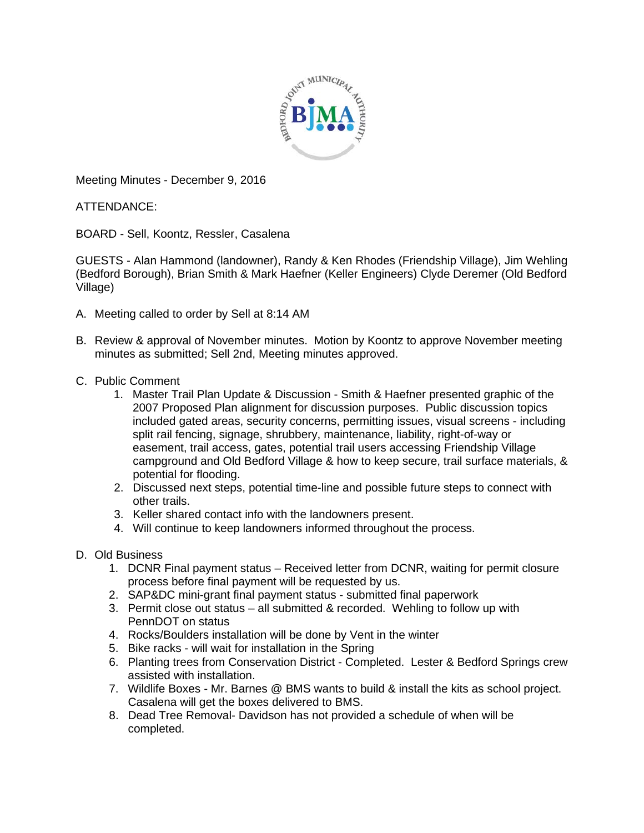

Meeting Minutes - December 9, 2016

ATTENDANCE:

BOARD - Sell, Koontz, Ressler, Casalena

GUESTS - Alan Hammond (landowner), Randy & Ken Rhodes (Friendship Village), Jim Wehling (Bedford Borough), Brian Smith & Mark Haefner (Keller Engineers) Clyde Deremer (Old Bedford Village)

- A. Meeting called to order by Sell at 8:14 AM
- B. Review & approval of November minutes. Motion by Koontz to approve November meeting minutes as submitted; Sell 2nd, Meeting minutes approved.
- C. Public Comment
	- 1. Master Trail Plan Update & Discussion Smith & Haefner presented graphic of the 2007 Proposed Plan alignment for discussion purposes. Public discussion topics included gated areas, security concerns, permitting issues, visual screens - including split rail fencing, signage, shrubbery, maintenance, liability, right-of-way or easement, trail access, gates, potential trail users accessing Friendship Village campground and Old Bedford Village & how to keep secure, trail surface materials, & potential for flooding.
	- 2. Discussed next steps, potential time-line and possible future steps to connect with other trails.
	- 3. Keller shared contact info with the landowners present.
	- 4. Will continue to keep landowners informed throughout the process.
- D. Old Business
	- 1. DCNR Final payment status Received letter from DCNR, waiting for permit closure process before final payment will be requested by us.
	- 2. SAP&DC mini-grant final payment status submitted final paperwork
	- 3. Permit close out status all submitted & recorded. Wehling to follow up with PennDOT on status
	- 4. Rocks/Boulders installation will be done by Vent in the winter
	- 5. Bike racks will wait for installation in the Spring
	- 6. Planting trees from Conservation District Completed. Lester & Bedford Springs crew assisted with installation.
	- 7. Wildlife Boxes Mr. Barnes @ BMS wants to build & install the kits as school project. Casalena will get the boxes delivered to BMS.
	- 8. Dead Tree Removal- Davidson has not provided a schedule of when will be completed.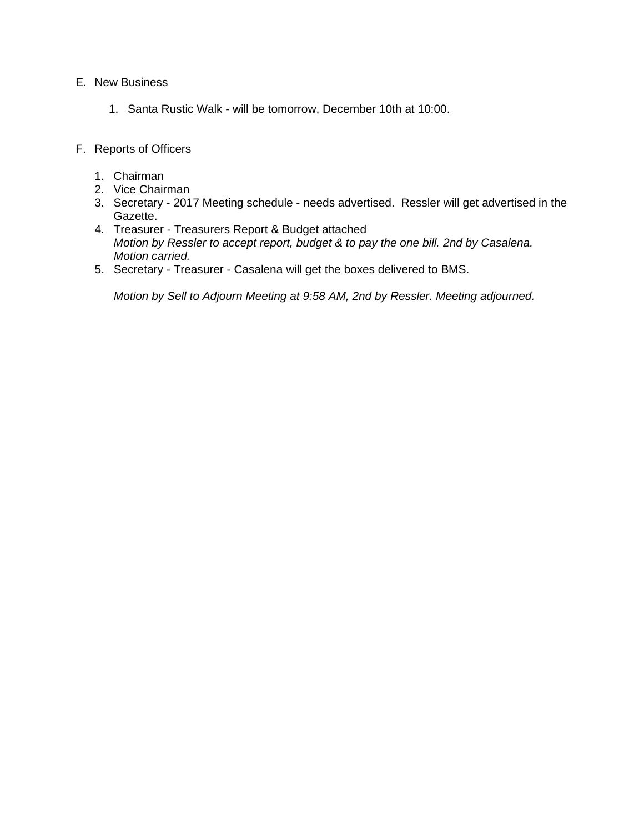#### E. New Business

- 1. Santa Rustic Walk will be tomorrow, December 10th at 10:00.
- F. Reports of Officers
	- 1. Chairman
	- 2. Vice Chairman
	- 3. Secretary 2017 Meeting schedule needs advertised. Ressler will get advertised in the Gazette.
	- 4. Treasurer Treasurers Report & Budget attached *Motion by Ressler to accept report, budget & to pay the one bill. 2nd by Casalena. Motion carried.*
	- 5. Secretary Treasurer Casalena will get the boxes delivered to BMS.

*Motion by Sell to Adjourn Meeting at 9:58 AM, 2nd by Ressler. Meeting adjourned.*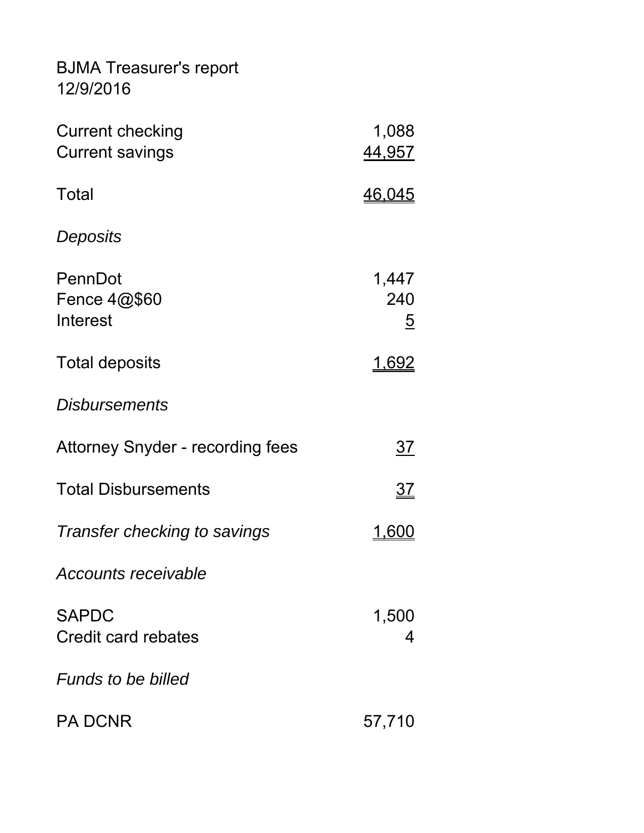BJMA Treasurer's report 12/9/2016

| <b>Current checking</b><br><b>Current savings</b> | 1,088<br>44,957          |
|---------------------------------------------------|--------------------------|
| Total                                             | <u>46,045</u>            |
| Deposits                                          |                          |
| PennDot<br>Fence $4@$60$<br>Interest              | 1,447<br>240<br><u>5</u> |
| <b>Total deposits</b>                             | <u>1.692</u>             |
| <i><b>Disbursements</b></i>                       |                          |
| <b>Attorney Snyder - recording fees</b>           | <u>37</u>                |
| <b>Total Disbursements</b>                        | 37                       |
| Transfer checking to savings                      | <u>1.600</u>             |
| Accounts receivable                               |                          |
| <b>SAPDC</b><br><b>Credit card rebates</b>        | 1,500<br>4               |
| <b>Funds to be billed</b>                         |                          |
| <b>PA DCNR</b>                                    | 57,710                   |